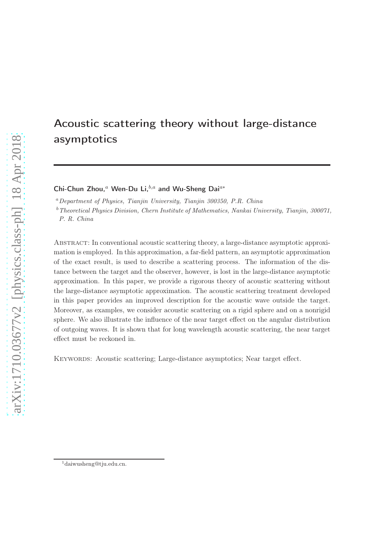# Acoustic scattering theory without large-distance asymptotics

Chi-Chun Zhou,<sup>*a*</sup> Wen-Du Li, $b,a$  and Wu-Sheng Dai<sup> $a*$ </sup>

 $a<sup>a</sup> Department of Physics, Tianjin University, Tianjin 300350, P.R. China$ 

 $b$ <sup>b</sup> Theoretical Physics Division, Chern Institute of Mathematics, Nankai University, Tianjin, 300071, P. R. China

Abstract: In conventional acoustic scattering theory, a large-distance asymptotic approximation is employed. In this approximation, a far-field pattern, an asymptotic approximation of the exact result, is used to describe a scattering process. The information of the distance between the target and the observer, however, is lost in the large-distance asymptotic approximation. In this paper, we provide a rigorous theory of acoustic scattering without the large-distance asymptotic approximation. The acoustic scattering treatment developed in this paper provides an improved description for the acoustic wave outside the target. Moreover, as examples, we consider acoustic scattering on a rigid sphere and on a nonrigid sphere. We also illustrate the influence of the near target effect on the angular distribution of outgoing waves. It is shown that for long wavelength acoustic scattering, the near target effect must be reckoned in.

Keywords: Acoustic scattering; Large-distance asymptotics; Near target effect.

<sup>1</sup>daiwusheng@tju.edu.cn.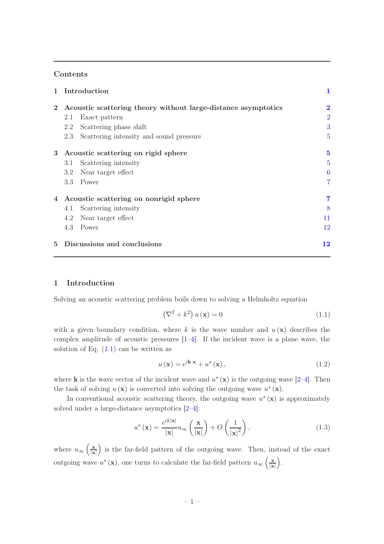# Contents

| $\mathbf{1}$   | Introduction                                                  |                                         | 1               |
|----------------|---------------------------------------------------------------|-----------------------------------------|-----------------|
| $\mathbf{2}$   | Acoustic scattering theory without large-distance asymptotics |                                         | $\bf{2}$        |
|                | 2.1                                                           | Exact pattern                           | $\overline{2}$  |
|                | 2.2                                                           | Scattering phase shift                  | 3               |
|                | 2.3                                                           | Scattering intensity and sound pressure | $\overline{5}$  |
| 3              | Acoustic scattering on rigid sphere                           |                                         | $\bf{5}$        |
|                | 3.1                                                           | Scattering intensity                    | $\overline{5}$  |
|                | 3.2                                                           | Near target effect                      | $6\phantom{.}6$ |
|                |                                                               | 3.3 Power                               | 7               |
| $\overline{4}$ | Acoustic scattering on nonrigid sphere                        |                                         | 7               |
|                | 4.1                                                           | Scattering intensity                    | 8               |
|                | 4.2                                                           | Near target effect                      | 11              |
|                | 4.3                                                           | Power                                   | 12              |
| 5              | Discussions and conclusions                                   |                                         | 12              |

# 1 Introduction

Solving an acoustic scattering problem boils down to solving a Helmholtz equation

$$
\left(\nabla^2 + k^2\right)u\left(\mathbf{x}\right) = 0\tag{1.1}
$$

with a given boundary condition, where k is the wave number and  $u(\mathbf{x})$  describes the complex amplitude of acoustic pressures  $[1-4]$ . If the incident wave is a plane wave, the solution of Eq.  $(1.1)$  can be written as

$$
u\left(\mathbf{x}\right) = e^{i\mathbf{k}\cdot\mathbf{x}} + u^s\left(\mathbf{x}\right),\tag{1.2}
$$

where **k** is the wave vector of the incident wave and  $u^s(\mathbf{x})$  is the outgoing wave [2–4]. Then the task of solving  $u(\mathbf{x})$  is converted into solving the outgoing wave  $u^s(\mathbf{x})$ .

In conventional acoustic scattering theory, the outgoing wave  $u^s(\mathbf{x})$  is approximately solved under a large-distance asymptotics [2–4]:

$$
u^{s}(\mathbf{x}) = \frac{e^{ik|\mathbf{x}|}}{|\mathbf{x}|} u_{\infty} \left(\frac{\mathbf{x}}{|\mathbf{x}|}\right) + O\left(\frac{1}{|\mathbf{x}|^{2}}\right),\tag{1.3}
$$

where  $u_{\infty} \left( \frac{\mathbf{x}}{|\mathbf{x}|} \right)$  $\frac{\mathbf{x}}{|\mathbf{x}|}$  is the far-field pattern of the outgoing wave. Then, instead of the exact outgoing wave  $u^s(\mathbf{x})$ , one turns to calculate the far-field pattern  $u_\infty\left(\frac{\mathbf{x}}{|\mathbf{x}|}\right)$  $\frac{\mathbf{x}}{|\mathbf{x}|}\bigg).$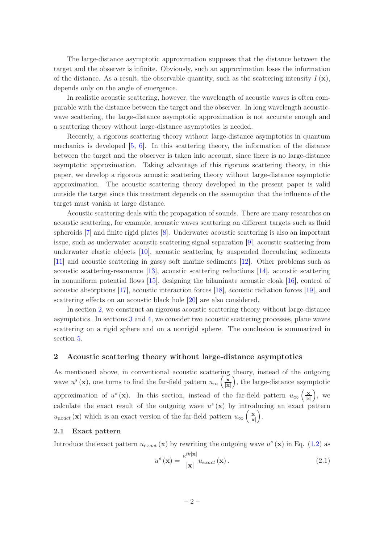The large-distance asymptotic approximation supposes that the distance between the target and the observer is infinite. Obviously, such an approximation loses the information of the distance. As a result, the observable quantity, such as the scattering intensity  $I(\mathbf{x})$ , depends only on the angle of emergence.

In realistic acoustic scattering, however, the wavelength of acoustic waves is often comparable with the distance between the target and the observer. In long wavelength acousticwave scattering, the large-distance asymptotic approximation is not accurate enough and a scattering theory without large-distance asymptotics is needed.

Recently, a rigorous scattering theory without large-distance asymptotics in quantum mechanics is developed [5, 6]. In this scattering theory, the information of the distance between the target and the observer is taken into account, since there is no large-distance asymptotic approximation. Taking advantage of this rigorous scattering theory, in this paper, we develop a rigorous acoustic scattering theory without large-distance asymptotic approximation. The acoustic scattering theory developed in the present paper is valid outside the target since this treatment depends on the assumption that the influence of the target must vanish at large distance.

Acoustic scattering deals with the propagation of sounds. There are many researches on acoustic scattering, for example, acoustic waves scattering on different targets such as fluid spheroids [7] and finite rigid plates [8]. Underwater acoustic scattering is also an important issue, such as underwater acoustic scattering signal separation [9], acoustic scattering from underwater elastic objects [10], acoustic scattering by suspended flocculating sediments [11] and acoustic scattering in gassy soft marine sediments [12]. Other problems such as acoustic scattering-resonance [13], acoustic scattering reductions [14], acoustic scattering in nonuniform potential flows [15], designing the bilaminate acoustic cloak [16], control of acoustic absorptions [17], acoustic interaction forces [18], acoustic radiation forces [19], and scattering effects on an acoustic black hole [20] are also considered.

In section 2, we construct an rigorous acoustic scattering theory without large-distance asymptotics. In sections 3 and 4, we consider two acoustic scattering processes, plane waves scattering on a rigid sphere and on a nonrigid sphere. The conclusion is summarized in section 5.

## 2 Acoustic scattering theory without large-distance asymptotics

As mentioned above, in conventional acoustic scattering theory, instead of the outgoing wave  $u^s(\mathbf{x})$ , one turns to find the far-field pattern  $u_{\infty}\left(\frac{\mathbf{x}}{|\mathbf{x}|}\right)$  $\frac{\mathbf{x}}{|\mathbf{x}|}$ , the large-distance asymptotic approximation of  $u^s(\mathbf{x})$ . In this section, instead of the far-field pattern  $u_{\infty}\left(\frac{\mathbf{x}}{|\mathbf{x}|}\right)$  $\frac{\mathbf{x}}{|\mathbf{x}|}\bigg)$ , we calculate the exact result of the outgoing wave  $u^s(\mathbf{x})$  by introducing an exact pattern  $u_{exact}(\mathbf{x})$  which is an exact version of the far-field pattern  $u_{\infty}(\frac{\mathbf{x}}{|\mathbf{x}|})$  $\frac{\mathbf{x}}{|\mathbf{x}|}\bigg).$ 

## 2.1 Exact pattern

Introduce the exact pattern  $u_{exact}(\mathbf{x})$  by rewriting the outgoing wave  $u^s(\mathbf{x})$  in Eq. (1.2) as

$$
u^{s}\left(\mathbf{x}\right) = \frac{e^{ik|\mathbf{x}|}}{|\mathbf{x}|} u_{exact}\left(\mathbf{x}\right). \tag{2.1}
$$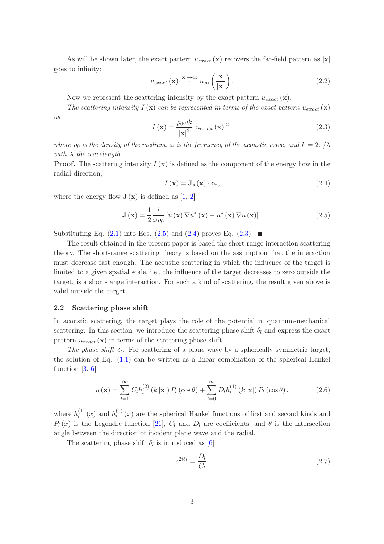As will be shown later, the exact pattern  $u_{exact}(\mathbf{x})$  recovers the far-field pattern as  $|\mathbf{x}|$ goes to infinity:

$$
u_{exact}(\mathbf{x}) \stackrel{|\mathbf{x}| \to \infty}{\sim} u_{\infty} \left(\frac{\mathbf{x}}{|\mathbf{x}|}\right). \tag{2.2}
$$

Now we represent the scattering intensity by the exact pattern  $u_{exact}(\mathbf{x})$ .

The scattering intensity  $I(\mathbf{x})$  can be represented in terms of the exact pattern  $u_{exact}(\mathbf{x})$ as

$$
I\left(\mathbf{x}\right) = \frac{\rho_0 \omega k}{\left|\mathbf{x}\right|^2} \left| u_{exact}\left(\mathbf{x}\right) \right|^2,\tag{2.3}
$$

where  $\rho_0$  is the density of the medium,  $\omega$  is the frequency of the acoustic wave, and  $k = 2\pi/\lambda$ with  $\lambda$  the wavelength.

**Proof.** The scattering intensity  $I(\mathbf{x})$  is defined as the component of the energy flow in the radial direction,

$$
I\left(\mathbf{x}\right) = \mathbf{J}_s\left(\mathbf{x}\right) \cdot \mathbf{e}_r,\tag{2.4}
$$

where the energy flow  $J(x)$  is defined as [1, 2]

$$
\mathbf{J}\left(\mathbf{x}\right) = \frac{1}{2} \frac{i}{\omega \rho_0} \left[ u\left(\mathbf{x}\right) \nabla u^*\left(\mathbf{x}\right) - u^*\left(\mathbf{x}\right) \nabla u\left(\mathbf{x}\right) \right].\tag{2.5}
$$

Substituting Eq.  $(2.1)$  into Eqs.  $(2.5)$  and  $(2.4)$  proves Eq.  $(2.3)$ .

The result obtained in the present paper is based the short-range interaction scattering theory. The short-range scattering theory is based on the assumption that the interaction must decrease fast enough. The acoustic scattering in which the influence of the target is limited to a given spatial scale, i.e., the influence of the target decreases to zero outside the target, is a short-range interaction. For such a kind of scattering, the result given above is valid outside the target.

#### 2.2 Scattering phase shift

In acoustic scattering, the target plays the role of the potential in quantum-mechanical scattering. In this section, we introduce the scattering phase shift  $\delta_l$  and express the exact pattern  $u_{exact}(\mathbf{x})$  in terms of the scattering phase shift.

The phase shift  $\delta_l$ . For scattering of a plane wave by a spherically symmetric target, the solution of Eq.  $(1.1)$  can be written as a linear combination of the spherical Hankel function [3, 6]

$$
u\left(\mathbf{x}\right) = \sum_{l=0}^{\infty} C_l h_l^{(2)}\left(k\left|\mathbf{x}\right|\right) P_l\left(\cos\theta\right) + \sum_{l=0}^{\infty} D_l h_l^{(1)}\left(k\left|\mathbf{x}\right|\right) P_l\left(\cos\theta\right),\tag{2.6}
$$

where  $h_l^{(1)}$  $l_l^{(1)}(x)$  and  $h_l^{(2)}$  $\binom{2}{l}(x)$  are the spherical Hankel functions of first and second kinds and  $P_l(x)$  is the Legendre function [21],  $C_l$  and  $D_l$  are coefficients, and  $\theta$  is the intersection angle between the direction of incident plane wave and the radial.

The scattering phase shift  $\delta_l$  is introduced as [6]

$$
e^{2i\delta_l} = \frac{D_l}{C_l}.\tag{2.7}
$$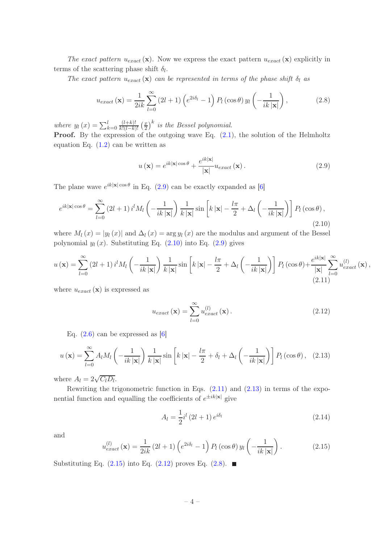The exact pattern  $u_{exact}(\mathbf{x})$ . Now we express the exact pattern  $u_{exact}(\mathbf{x})$  explicitly in terms of the scattering phase shift  $\delta_l$ .

The exact pattern  $u_{exact}(\mathbf{x})$  can be represented in terms of the phase shift  $\delta_l$  as

$$
u_{exact}(\mathbf{x}) = \frac{1}{2ik} \sum_{l=0}^{\infty} (2l+1) \left( e^{2i\delta_l} - 1 \right) P_l(\cos \theta) y_l \left( -\frac{1}{ik|\mathbf{x}|} \right), \tag{2.8}
$$

where  $y_l(x) = \sum_{k=0}^{l}$  $(l+k)!$  $rac{(l+k)!}{k!(l-k)!}$   $\left(\frac{x}{2}\right)$  $\left(\frac{x}{2}\right)^k$  is the Bessel polynomial.

**Proof.** By the expression of the outgoing wave Eq.  $(2.1)$ , the solution of the Helmholtz equation Eq.  $(1.2)$  can be written as

$$
u\left(\mathbf{x}\right) = e^{ik|\mathbf{x}| \cos \theta} + \frac{e^{ik|\mathbf{x}|}}{|\mathbf{x}|} u_{exact}\left(\mathbf{x}\right).
$$
 (2.9)

The plane wave  $e^{ik|\mathbf{x}| \cos \theta}$  in Eq. (2.9) can be exactly expanded as [6]

$$
e^{ik|\mathbf{x}| \cos \theta} = \sum_{l=0}^{\infty} \left(2l+1\right) i^l M_l \left(-\frac{1}{ik|\mathbf{x}|}\right) \frac{1}{k|\mathbf{x}|} \sin\left[k|\mathbf{x}| - \frac{l\pi}{2} + \Delta_l \left(-\frac{1}{ik|\mathbf{x}|}\right)\right] P_l\left(\cos\theta\right),\tag{2.10}
$$

where  $M_l(x) = |y_l(x)|$  and  $\Delta_l(x) = \arg y_l(x)$  are the modulus and argument of the Bessel polynomial  $y_l(x)$ . Substituting Eq. (2.10) into Eq. (2.9) gives

$$
u\left(\mathbf{x}\right) = \sum_{l=0}^{\infty} \left(2l+1\right) i^l M_l \left(-\frac{1}{ik\left|\mathbf{x}\right|}\right) \frac{1}{k\left|\mathbf{x}\right|} \sin\left[k\left|\mathbf{x}\right| - \frac{l\pi}{2} + \Delta_l \left(-\frac{1}{ik\left|\mathbf{x}\right|}\right)\right] P_l\left(\cos\theta\right) + \frac{e^{ik\left|\mathbf{x}\right|}}{\left|\mathbf{x}\right|} \sum_{l=0}^{\infty} u_{exact}^{(l)}\left(\mathbf{x}\right),\tag{2.11}
$$

where  $u_{exact}(\mathbf{x})$  is expressed as

$$
u_{exact}\left(\mathbf{x}\right) = \sum_{l=0}^{\infty} u_{exact}^{(l)}\left(\mathbf{x}\right). \tag{2.12}
$$

Eq.  $(2.6)$  can be expressed as [6]

$$
u(\mathbf{x}) = \sum_{l=0}^{\infty} A_l M_l \left( -\frac{1}{ik|\mathbf{x}|} \right) \frac{1}{k|\mathbf{x}|} \sin \left[ k|\mathbf{x}| - \frac{l\pi}{2} + \delta_l + \Delta_l \left( -\frac{1}{ik|\mathbf{x}|} \right) \right] P_l(\cos \theta), \quad (2.13)
$$

where  $A_l = 2\sqrt{C_l D_l}$ .

Rewriting the trigonometric function in Eqs.  $(2.11)$  and  $(2.13)$  in terms of the exponential function and equalling the coefficients of  $e^{\pm i k|\mathbf{x}|}$  give

$$
A_{l} = \frac{1}{2}i^{l} (2l+1) e^{i\delta_{l}}
$$
 (2.14)

and

$$
u_{exact}^{(l)}\left(\mathbf{x}\right) = \frac{1}{2ik}\left(2l+1\right)\left(e^{2i\delta_l}-1\right)P_l\left(\cos\theta\right)y_l\left(-\frac{1}{ik\left|\mathbf{x}\right|}\right). \tag{2.15}
$$

Substituting Eq.  $(2.15)$  into Eq.  $(2.12)$  proves Eq.  $(2.8)$ .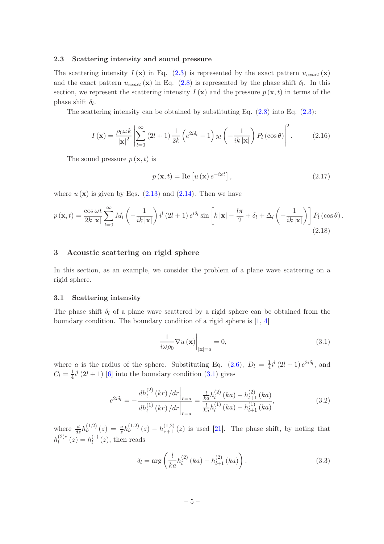## 2.3 Scattering intensity and sound pressure

The scattering intensity  $I(\mathbf{x})$  in Eq. (2.3) is represented by the exact pattern  $u_{exact}(\mathbf{x})$ and the exact pattern  $u_{exact}(\mathbf{x})$  in Eq. (2.8) is represented by the phase shift  $\delta_l$ . In this section, we represent the scattering intensity  $I(\mathbf{x})$  and the pressure  $p(\mathbf{x},t)$  in terms of the phase shift  $\delta_l$ .

The scattering intensity can be obtained by substituting Eq.  $(2.8)$  into Eq.  $(2.3)$ :

$$
I(\mathbf{x}) = \frac{\rho_0 \omega k}{|\mathbf{x}|^2} \left| \sum_{l=0}^{\infty} (2l+1) \frac{1}{2k} \left( e^{2i\delta_l} - 1 \right) y_l \left( -\frac{1}{ik|\mathbf{x}|} \right) P_l(\cos \theta) \right|^2.
$$
 (2.16)

The sound pressure  $p(\mathbf{x}, t)$  is

$$
p(\mathbf{x},t) = \text{Re}\left[u\left(\mathbf{x}\right)e^{-i\omega t}\right],\tag{2.17}
$$

where  $u(\mathbf{x})$  is given by Eqs. (2.13) and (2.14). Then we have

$$
p(\mathbf{x},t) = \frac{\cos \omega t}{2k |\mathbf{x}|} \sum_{l=0}^{\infty} M_l \left( -\frac{1}{ik |\mathbf{x}|} \right) i^l (2l+1) e^{i\delta_l} \sin \left[ k |\mathbf{x}| - \frac{l\pi}{2} + \delta_l + \Delta_l \left( -\frac{1}{ik |\mathbf{x}|} \right) \right] P_l(\cos \theta).
$$
\n(2.18)

# 3 Acoustic scattering on rigid sphere

In this section, as an example, we consider the problem of a plane wave scattering on a rigid sphere.

#### 3.1 Scattering intensity

The phase shift  $\delta_l$  of a plane wave scattered by a rigid sphere can be obtained from the boundary condition. The boundary condition of a rigid sphere is [1, 4]

$$
\frac{1}{i\omega\rho_0} \nabla u(\mathbf{x})\Big|_{|\mathbf{x}|=a} = 0,
$$
\n(3.1)

where a is the radius of the sphere. Substituting Eq. (2.6),  $D_l = \frac{1}{4}$  $\frac{1}{4}i^{l}(2l+1)e^{2i\delta_{l}},$  and  $C_l=\frac{1}{4}$  $\frac{1}{4}i^{l}$  (2l + 1) [6] into the boundary condition (3.1) gives

$$
e^{2i\delta_l} = -\frac{dh_l^{(2)}(kr) / dr\Big|_{r=a}}{dh_l^{(1)}(kr) / dr\Big|_{r=a}} = \frac{\frac{l}{ka}h_l^{(2)}(ka) - h_{l+1}^{(2)}(ka)}{\frac{l}{ka}h_l^{(1)}(ka) - h_{l+1}^{(1)}(ka)},\tag{3.2}
$$

where  $\frac{d}{dz}h_{\nu}^{(1,2)}(z) = \frac{\nu}{z}h_{\nu}^{(1,2)}(z) - h_{\nu+1}^{(1,2)}(z)$  is used [21]. The phase shift, by noting that  $h_l^{(2)*}$  $l_1^{(2)*}(z) = h_l^{(1)}$  $\binom{1}{l}(z)$ , then reads

$$
\delta_l = \arg\left(\frac{l}{ka}h_l^{(2)}(ka) - h_{l+1}^{(2)}(ka)\right).
$$
 (3.3)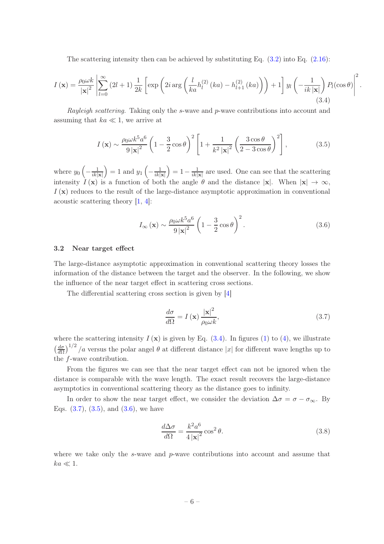The scattering intensity then can be achieved by substituting Eq.  $(3.2)$  into Eq.  $(2.16)$ :

$$
I(\mathbf{x}) = \frac{\rho_0 \omega k}{|\mathbf{x}|^2} \left| \sum_{l=0}^{\infty} (2l+1) \frac{1}{2k} \left[ \exp\left(2i \arg\left(\frac{l}{ka} h_l^{(2)}(ka) - h_{l+1}^{(2)}(ka)\right)\right) + 1 \right] y_l \left( -\frac{1}{ik|\mathbf{x}|} \right) P_l(\cos \theta) \right|^2
$$
\n(3.4)

Rayleigh scattering. Taking only the s-wave and p-wave contributions into account and assuming that  $ka \ll 1$ , we arrive at

$$
I\left(\mathbf{x}\right) \sim \frac{\rho_0 \omega k^5 a^6}{9\left|\mathbf{x}\right|^2} \left(1 - \frac{3}{2}\cos\theta\right)^2 \left[1 + \frac{1}{k^2\left|\mathbf{x}\right|^2} \left(\frac{3\cos\theta}{2 - 3\cos\theta}\right)^2\right],\tag{3.5}
$$

where  $y_0\left(-\frac{1}{ik|\mathbf{x}|}\right) = 1$  and  $y_1\left(-\frac{1}{ik|\mathbf{x}|}\right) = 1 - \frac{1}{ik|\mathbf{x}|}$  are used. One can see that the scattering intensity  $\hat{I}(\mathbf{x})$  is a function of both the angle  $\theta$  and the distance  $|\mathbf{x}|$ . When  $|\mathbf{x}| \to \infty$ ,  $I(\mathbf{x})$  reduces to the result of the large-distance asymptotic approximation in conventional acoustic scattering theory [1, 4]:

$$
I_{\infty}(\mathbf{x}) \sim \frac{\rho_0 \omega k^5 a^6}{9 |\mathbf{x}|^2} \left(1 - \frac{3}{2} \cos \theta\right)^2.
$$
 (3.6)

.

#### 3.2 Near target effect

The large-distance asymptotic approximation in conventional scattering theory losses the information of the distance between the target and the observer. In the following, we show the influence of the near target effect in scattering cross sections.

The differential scattering cross section is given by [4]

$$
\frac{d\sigma}{d\Omega} = I(\mathbf{x}) \frac{|\mathbf{x}|^2}{\rho_0 \omega k},\tag{3.7}
$$

where the scattering intensity  $I(\mathbf{x})$  is given by Eq. (3.4). In figures (1) to (4), we illustrate  $\frac{d\sigma}{d\Omega}$  $\frac{d\sigma}{d\Omega}$ <sup>1/2</sup>/a versus the polar angel  $\theta$  at different distance |x| for different wave lengths up to the f-wave contribution.

From the figures we can see that the near target effect can not be ignored when the distance is comparable with the wave length. The exact result recovers the large-distance asymptotics in conventional scattering theory as the distance goes to infinity.

In order to show the near target effect, we consider the deviation  $\Delta \sigma = \sigma - \sigma_{\infty}$ . By Eqs.  $(3.7), (3.5),$  and  $(3.6),$  we have

$$
\frac{d\Delta\sigma}{d\Omega} = \frac{k^2 a^6}{4 |\mathbf{x}|^2} \cos^2 \theta.
$$
\n(3.8)

where we take only the s-wave and  $p$ -wave contributions into account and assume that  $ka \ll 1$ .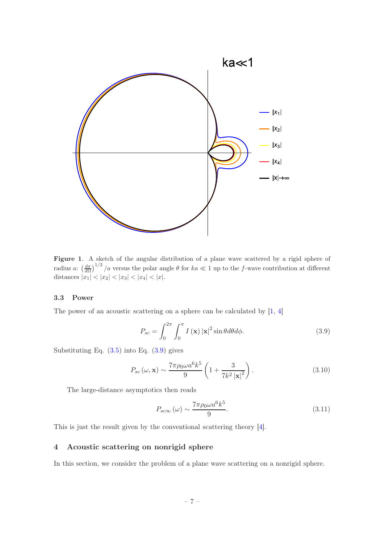

Figure 1. A sketch of the angular distribution of a plane wave scattered by a rigid sphere of radius a:  $\left(\frac{d\sigma}{d\Omega}\right)^{1/2}/a$  versus the polar angle  $\theta$  for  $ka \ll 1$  up to the f-wave contribution at different distances  $|x_1| < |x_2| < |x_3| < |x_4| < |x|$ .

#### 3.3 Power

The power of an acoustic scattering on a sphere can be calculated by  $[1, 4]$ 

$$
P_{sc} = \int_0^{2\pi} \int_0^{\pi} I(\mathbf{x}) |\mathbf{x}|^2 \sin\theta d\theta d\phi.
$$
 (3.9)

Substituting Eq. (3.5) into Eq. (3.9) gives

$$
P_{sc}(\omega, \mathbf{x}) \sim \frac{7\pi \rho_0 \omega a^6 k^5}{9} \left( 1 + \frac{3}{7k^2 |\mathbf{x}|^2} \right). \tag{3.10}
$$

The large-distance asymptotics then reads

$$
P_{sc\infty}(\omega) \sim \frac{7\pi \rho_0 \omega a^6 k^5}{9}.
$$
\n(3.11)

This is just the result given by the conventional scattering theory [4].

# 4 Acoustic scattering on nonrigid sphere

In this section, we consider the problem of a plane wave scattering on a nonrigid sphere.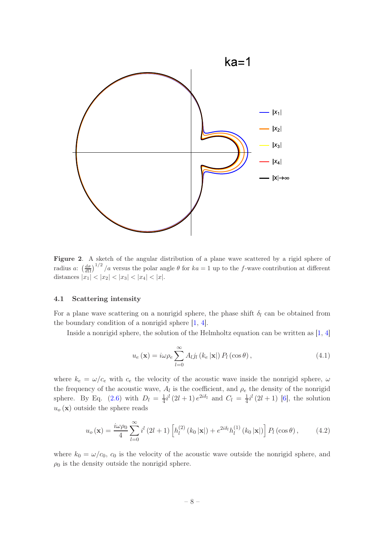

Figure 2. A sketch of the angular distribution of a plane wave scattered by a rigid sphere of radius a:  $\left(\frac{d\sigma}{d\Omega}\right)^{1/2}$  /a versus the polar angle  $\theta$  for  $ka = 1$  up to the f-wave contribution at different distances  $|x_1| < |x_2| < |x_3| < |x_4| < |x|$ .

#### 4.1 Scattering intensity

For a plane wave scattering on a nonrigid sphere, the phase shift  $\delta_l$  can be obtained from the boundary condition of a nonrigid sphere [1, 4].

Inside a nonrigid sphere, the solution of the Helmholtz equation can be written as [1, 4]

$$
u_e(\mathbf{x}) = i\omega \rho_e \sum_{l=0}^{\infty} A_l j_l (k_e |\mathbf{x}|) P_l(\cos \theta), \qquad (4.1)
$$

where  $k_e = \omega/c_e$  with  $c_e$  the velocity of the acoustic wave inside the nonrigid sphere,  $\omega$ the frequency of the acoustic wave,  $A_l$  is the coefficient, and  $\rho_e$  the density of the nonrigid sphere. By Eq. (2.6) with  $D_l = \frac{1}{4}$  $\frac{1}{4}i^{l}(2l+1)e^{2i\delta_{l}}$  and  $C_{l} = \frac{1}{4}$  $\frac{1}{4}i^{l}$  (2*l* + 1) [6], the solution  $u<sub>o</sub>(\mathbf{x})$  outside the sphere reads

$$
u_o(\mathbf{x}) = \frac{i\omega\rho_0}{4} \sum_{l=0}^{\infty} i^l (2l+1) \left[ h_l^{(2)}(k_0|\mathbf{x}|) + e^{2i\delta_l} h_l^{(1)}(k_0|\mathbf{x}|) \right] P_l(\cos\theta), \quad (4.2)
$$

where  $k_0 = \omega/c_0$ ,  $c_0$  is the velocity of the acoustic wave outside the nonrigid sphere, and  $\rho_0$  is the density outside the nonrigid sphere.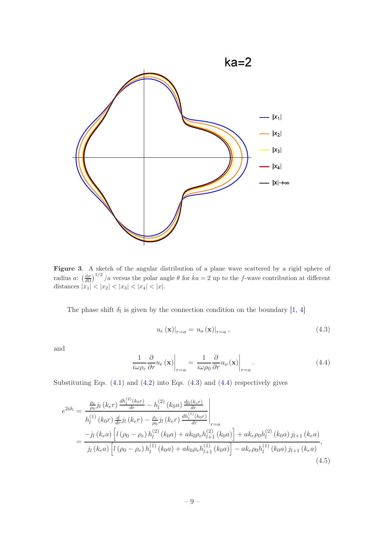

Figure 3. A sketch of the angular distribution of a plane wave scattered by a rigid sphere of radius a:  $\left(\frac{d\sigma}{d\Omega}\right)^{1/2}$  /a versus the polar angle  $\theta$  for  $ka = 2$  up to the f-wave contribution at different distances  $|x_1| < |x_2| < |x_3| < |x_4| < |x|$ .

The phase shift  $\delta_l$  is given by the connection condition on the boundary [1, 4]

$$
u_e(\mathbf{x})|_{r=a} = u_o(\mathbf{x})|_{r=a},\tag{4.3}
$$

and

$$
\frac{1}{i\omega\rho_{\varepsilon}}\frac{\partial}{\partial r}u_{e}\left(\mathbf{x}\right)\bigg|_{r=a}=\frac{1}{i\omega\rho_{0}}\frac{\partial}{\partial r}u_{o}\left(\mathbf{x}\right)\bigg|_{r=a}.\tag{4.4}
$$

Substituting Eqs.  $(4.1)$  and  $(4.2)$  into Eqs.  $(4.3)$  and  $(4.4)$  respectively gives

$$
e^{2i\delta_l} = \frac{\frac{\rho_e}{\rho_0} j_l (k_e r) \frac{dh_l^{(2)}(k_0 r)}{dr} - h_l^{(2)} (k_0 a) \frac{dj_l(k_e r)}{dr}}{h_l^{(1)} (k_0 r) \frac{d}{dr} j_l (k_e r) - \frac{\rho_e}{\rho_0} j_l (k_e r) \frac{dh_l^{(1)}(k_0 r)}{dr}}\Big|_{r=a}
$$
  
= 
$$
\frac{-j_l (k_e a) \left[l (\rho_0 - \rho_e) h_l^{(2)} (k_0 a) + ak_0 \rho_e h_{l+1}^{(2)} (k_0 a) \right] + ak_e \rho_0 h_l^{(2)} (k_0 a) j_{l+1} (k_e a)}{j_l (k_e a) \left[l (\rho_0 - \rho_e) h_l^{(1)} (k_0 a) + ak_0 \rho_e h_{l+1}^{(1)} (k_0 a) \right] - ak_e \rho_0 h_l^{(1)} (k_0 a) j_{l+1} (k_e a)}
$$

$$
(4.5)
$$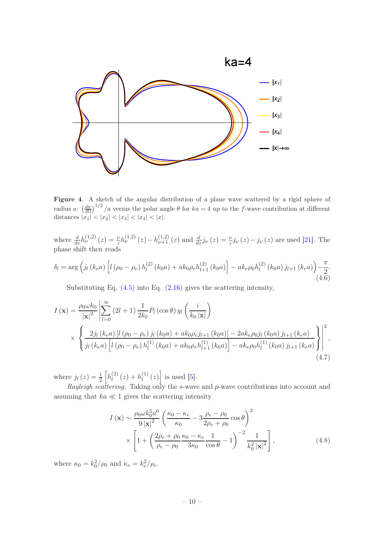

Figure 4. A sketch of the angular distribution of a plane wave scattered by a rigid sphere of radius a:  $\left(\frac{d\sigma}{d\Omega}\right)^{1/2}$  /a versus the polar angle  $\theta$  for  $ka = 4$  up to the f-wave contribution at different distances  $|x_1| < |x_2| < |x_3| < |x_4| < |x|$ .

where  $\frac{d}{dz}h_{\nu}^{(1,2)}(z) = \frac{\nu}{z}h_{\nu}^{(1,2)}(z) - h_{\nu+1}^{(1,2)}(z)$  and  $\frac{d}{dz}j_{\nu}(z) = \frac{\nu}{z}j_{\nu}(z) - j_{\nu}(z)$  are used [21]. The phase shift then reads

$$
\delta_{l} = \arg \left( j_{l} \left( k_{e} a \right) \left[ l \left( \rho_{0} - \rho_{e} \right) h_{l}^{(2)} \left( k_{0} a \right) + a k_{0} \rho_{e} h_{l+1}^{(2)} \left( k_{0} a \right) \right] - a k_{e} \rho_{0} h_{l}^{(2)} \left( k_{0} a \right) j_{l+1} \left( k_{e} a \right) \right) - \frac{\pi}{2}.
$$
\n(4.6)

Substituting Eq. (4.5) into Eq. (2.16) gives the scattering intensity,

$$
I(\mathbf{x}) = \frac{\rho_0 \omega k_0}{|\mathbf{x}|^2} \left| \sum_{l=0}^{\infty} (2l+1) \frac{1}{2k_0} P_l(\cos \theta) y_l \left( \frac{i}{k_0 |\mathbf{x}|} \right) \right|
$$
  
 
$$
\times \left\{ \frac{2j_l (k_e a) [l (\rho_0 - \rho_e) j_l (k_0 a) + ak_0 \rho_e j_{l+1} (k_0 a)] - 2ak_e \rho_0 j_l (k_0 a) j_{l+1} (k_e a)}{j_l (k_e a) [l (\rho_0 - \rho_e) h_l^{(1)} (k_0 a) + ak_0 \rho_e h_{l+1}^{(1)} (k_0 a)] - ak_e \rho_0 h_l^{(1)} (k_0 a) j_{l+1} (k_e a) } \right\} \right|^2,
$$
  
(4.7)

where  $j_l(z) = \frac{1}{2} \left[ h_l^{(2)} \right]$  $\binom{2}{l}(z) + h_l^{(1)}$  $\left[\begin{matrix}1\end{matrix}\right]$  (z) is used [5].

Rayleigh scattering. Taking only the s-wave and p-wave contributions into account and assuming that  $ka \ll 1$  gives the scattering intensity

$$
I(\mathbf{x}) \sim \frac{\rho_0 \omega k_0^5 a^6}{9 |\mathbf{x}|^2} \left( \frac{\kappa_0 - \kappa_e}{\kappa_0} - 3 \frac{\rho_e - \rho_0}{2\rho_e + \rho_0} \cos \theta \right)^2
$$
  
 
$$
\times \left[ 1 + \left( \frac{2\rho_e + \rho_0}{\rho_e - \rho_0} \frac{\kappa_0 - \kappa_e}{3\kappa_0} \frac{1}{\cos \theta} - 1 \right)^{-2} \frac{1}{k_0^2 |\mathbf{x}|^2} \right],
$$
(4.8)

where  $\kappa_0 = k_0^2/\rho_0$  and  $\kappa_e = k_e^2/\rho_e$ .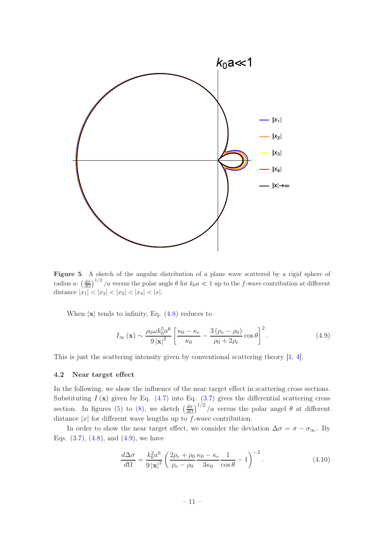

Figure 5. A sketch of the angular distribution of a plane wave scattered by a rigid sphere of radius a:  $\left(\frac{d\sigma}{d\Omega}\right)^{1/2}$  /a versus the polar angle  $\theta$  for  $k_0 a \ll 1$  up to the f-wave contribution at different distance  $|x_1| < |x_2| < |x_3| < |x_4| < |x|$ .

When  $|x|$  tends to infinity, Eq.  $(4.8)$  reduces to

$$
I_{\infty}(\mathbf{x}) \sim \frac{\rho_0 \omega k_0^5 a^6}{9 |\mathbf{x}|^2} \left[ \frac{\kappa_0 - \kappa_e}{\kappa_0} - \frac{3 (\rho_e - \rho_0)}{\rho_0 + 2\rho_e} \cos \theta \right]^2.
$$
 (4.9)

This is just the scattering intensity given by conventional scattering theory [1, 4].

#### 4.2 Near target effect

In the following, we show the influence of the near target effect in scattering cross sections. Substituting  $I(\mathbf{x})$  given by Eq. (4.7) into Eq. (3.7) gives the differential scattering cross section. In figures (5) to (8), we sketch  $\left(\frac{d\sigma}{d\Omega}\right)$  $\frac{d\sigma}{d\Omega}$ <sup>1/2</sup>/a versus the polar angel  $\theta$  at different distance  $|x|$  for different wave lengths up to f-wave contribution.

In order to show the near target effect, we consider the deviation  $\Delta \sigma = \sigma - \sigma_{\infty}$ . By Eqs.  $(3.7), (4.8),$  and  $(4.9),$  we have

$$
\frac{d\Delta\sigma}{d\Omega} = \frac{k_0^2 a^6}{9 |\mathbf{x}|^2} \left( \frac{2\rho_e + \rho_0}{\rho_e - \rho_0} \frac{\kappa_0 - \kappa_e}{3\kappa_0} \frac{1}{\cos\theta} - 1 \right)^{-2}.
$$
\n(4.10)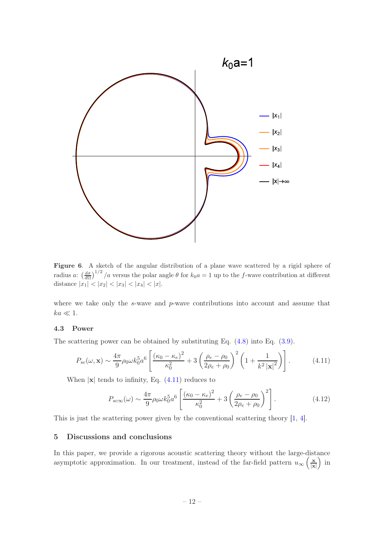

Figure 6. A sketch of the angular distribution of a plane wave scattered by a rigid sphere of radius a:  $\left(\frac{d\sigma}{d\Omega}\right)^{1/2}$  /a versus the polar angle  $\theta$  for  $k_0a = 1$  up to the f-wave contribution at different distance  $|x_1| < |x_2| < |x_3| < |x_4| < |x|$ .

where we take only the s-wave and p-wave contributions into account and assume that  $ka \ll 1$ .

# 4.3 Power

The scattering power can be obtained by substituting Eq. (4.8) into Eq. (3.9).

$$
P_{sc}(\omega, \mathbf{x}) \sim \frac{4\pi}{9} \rho_0 \omega k_0^5 a^6 \left[ \frac{(\kappa_0 - \kappa_e)^2}{\kappa_0^2} + 3 \left( \frac{\rho_e - \rho_0}{2\rho_e + \rho_0} \right)^2 \left( 1 + \frac{1}{k^2 |\mathbf{x}|^2} \right) \right].
$$
 (4.11)

When  $|x|$  tends to infinity, Eq.  $(4.11)$  reduces to

$$
P_{sc\infty}(\omega) \sim \frac{4\pi}{9} \rho_0 \omega k_0^5 a^6 \left[ \frac{(\kappa_0 - \kappa_e)^2}{\kappa_0^2} + 3 \left( \frac{\rho_e - \rho_0}{2\rho_e + \rho_0} \right)^2 \right].
$$
 (4.12)

This is just the scattering power given by the conventional scattering theory [1, 4].

## 5 Discussions and conclusions

In this paper, we provide a rigorous acoustic scattering theory without the large-distance asymptotic approximation. In our treatment, instead of the far-field pattern  $u_{\infty}$   $\left(\frac{\mathbf{x}}{|\mathbf{x}|}\right)$  $\frac{\mathbf{x}}{|\mathbf{x}|}\big)$  in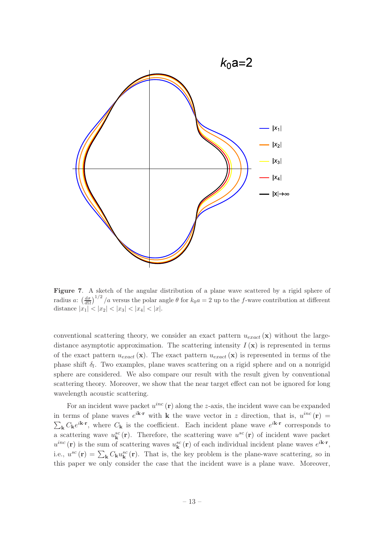

Figure 7. A sketch of the angular distribution of a plane wave scattered by a rigid sphere of radius a:  $\left(\frac{d\sigma}{d\Omega}\right)^{1/2}$  /a versus the polar angle  $\theta$  for  $k_0a = 2$  up to the f-wave contribution at different distance  $|x_1| < |x_2| < |x_3| < |x_4| < |x|$ .

conventional scattering theory, we consider an exact pattern  $u_{exact}(\mathbf{x})$  without the largedistance asymptotic approximation. The scattering intensity  $I(\mathbf{x})$  is represented in terms of the exact pattern  $u_{exact}(\mathbf{x})$ . The exact pattern  $u_{exact}(\mathbf{x})$  is represented in terms of the phase shift  $\delta_l$ . Two examples, plane waves scattering on a rigid sphere and on a nonrigid sphere are considered. We also compare our result with the result given by conventional scattering theory. Moreover, we show that the near target effect can not be ignored for long wavelength acoustic scattering.

For an incident wave packet  $u^{inc}(\mathbf{r})$  along the z-axis, the incident wave can be expanded in terms of plane waves  $e^{i\mathbf{k}\cdot\mathbf{r}}$  with **k** the wave vector in z direction, that is,  $u^{inc}(\mathbf{r})$  =  $\sum_{\mathbf{k}} C_{\mathbf{k}} e^{i\mathbf{k}\cdot\mathbf{r}}$ , where  $C_{\mathbf{k}}$  is the coefficient. Each incident plane wave  $e^{i\mathbf{k}\cdot\mathbf{r}}$  corresponds to a scattering wave  $u_{\mathbf{k}}^{sc}(\mathbf{r})$ . Therefore, the scattering wave  $u^{sc}(\mathbf{r})$  of incident wave packet  $u^{inc}(\mathbf{r})$  is the sum of scattering waves  $u^{sc}_{\mathbf{k}}(\mathbf{r})$  of each individual incident plane waves  $e^{i\mathbf{k}\cdot\mathbf{r}},$ i.e.,  $u^{sc}(\mathbf{r}) = \sum_{\mathbf{k}} C_{\mathbf{k}} u^{sc}_{\mathbf{k}}(\mathbf{r})$ . That is, the key problem is the plane-wave scattering, so in this paper we only consider the case that the incident wave is a plane wave. Moreover,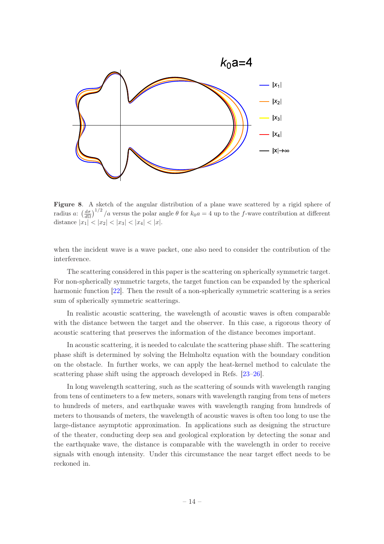

Figure 8. A sketch of the angular distribution of a plane wave scattered by a rigid sphere of radius a:  $\left(\frac{d\sigma}{d\Omega}\right)^{1/2}$  /a versus the polar angle  $\theta$  for  $k_0a = 4$  up to the f-wave contribution at different distance  $|x_1| < |x_2| < |x_3| < |x_4| < |x|$ .

when the incident wave is a wave packet, one also need to consider the contribution of the interference.

The scattering considered in this paper is the scattering on spherically symmetric target. For non-spherically symmetric targets, the target function can be expanded by the spherical harmonic function [22]. Then the result of a non-spherically symmetric scattering is a series sum of spherically symmetric scatterings.

In realistic acoustic scattering, the wavelength of acoustic waves is often comparable with the distance between the target and the observer. In this case, a rigorous theory of acoustic scattering that preserves the information of the distance becomes important.

In acoustic scattering, it is needed to calculate the scattering phase shift. The scattering phase shift is determined by solving the Helmholtz equation with the boundary condition on the obstacle. In further works, we can apply the heat-kernel method to calculate the scattering phase shift using the approach developed in Refs. [23–26].

In long wavelength scattering, such as the scattering of sounds with wavelength ranging from tens of centimeters to a few meters, sonars with wavelength ranging from tens of meters to hundreds of meters, and earthquake waves with wavelength ranging from hundreds of meters to thousands of meters, the wavelength of acoustic waves is often too long to use the large-distance asymptotic approximation. In applications such as designing the structure of the theater, conducting deep sea and geological exploration by detecting the sonar and the earthquake wave, the distance is comparable with the wavelength in order to receive signals with enough intensity. Under this circumstance the near target effect needs to be reckoned in.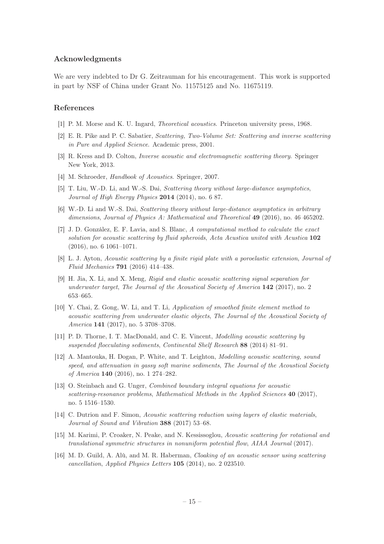## Acknowledgments

We are very indebted to Dr G. Zeitrauman for his encouragement. This work is supported in part by NSF of China under Grant No. 11575125 and No. 11675119.

## References

- [1] P. M. Morse and K. U. Ingard, Theoretical acoustics. Princeton university press, 1968.
- [2] E. R. Pike and P. C. Sabatier, Scattering, Two-Volume Set: Scattering and inverse scattering in Pure and Applied Science. Academic press, 2001.
- [3] R. Kress and D. Colton, Inverse acoustic and electromagnetic scattering theory. Springer New York, 2013.
- [4] M. Schroeder, Handbook of Acoustics. Springer, 2007.
- [5] T. Liu, W.-D. Li, and W.-S. Dai, Scattering theory without large-distance asymptotics, Journal of High Energy Physics 2014 (2014), no. 6 87.
- [6] W.-D. Li and W.-S. Dai, Scattering theory without large-distance asymptotics in arbitrary dimensions, Journal of Physics A: Mathematical and Theoretical 49 (2016), no. 46 465202.
- [7] J. D. González, E. F. Lavia, and S. Blanc, A computational method to calculate the exact solution for acoustic scattering by fluid spheroids, Acta Acustica united with Acustica 102 (2016), no. 6 1061–1071.
- [8] L. J. Ayton, Acoustic scattering by a finite rigid plate with a poroelastic extension, Journal of Fluid Mechanics 791 (2016) 414–438.
- [9] H. Jia, X. Li, and X. Meng, Rigid and elastic acoustic scattering signal separation for underwater target, The Journal of the Acoustical Society of America 142 (2017), no. 2 653–665.
- [10] Y. Chai, Z. Gong, W. Li, and T. Li, Application of smoothed finite element method to acoustic scattering from underwater elastic objects, The Journal of the Acoustical Society of America 141 (2017), no. 5 3708–3708.
- [11] P. D. Thorne, I. T. MacDonald, and C. E. Vincent, Modelling acoustic scattering by suspended flocculating sediments, Continental Shelf Research 88 (2014) 81–91.
- [12] A. Mantouka, H. Dogan, P. White, and T. Leighton, Modelling acoustic scattering, sound speed, and attenuation in gassy soft marine sediments, The Journal of the Acoustical Society of America 140 (2016), no. 1 274–282.
- [13] O. Steinbach and G. Unger, Combined boundary integral equations for acoustic scattering-resonance problems, Mathematical Methods in the Applied Sciences 40 (2017), no. 5 1516–1530.
- [14] C. Dutrion and F. Simon, Acoustic scattering reduction using layers of elastic materials, Journal of Sound and Vibration 388 (2017) 53–68.
- [15] M. Karimi, P. Croaker, N. Peake, and N. Kessissoglou, Acoustic scattering for rotational and translational symmetric structures in nonuniform potential flow, AIAA Journal (2017).
- [16] M. D. Guild, A. Alù, and M. R. Haberman, Cloaking of an acoustic sensor using scattering cancellation, Applied Physics Letters 105 (2014), no. 2 023510.